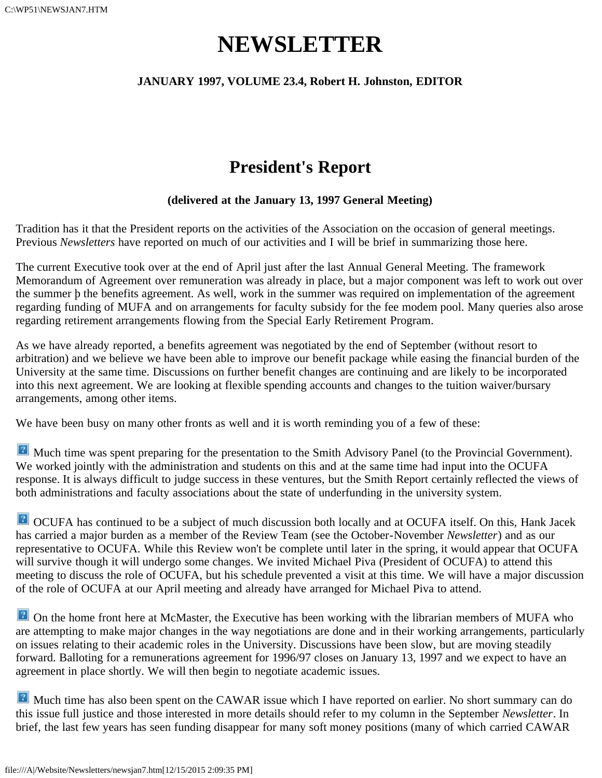# **NEWSLETTER**

### **JANUARY 1997, VOLUME 23.4, Robert H. Johnston, EDITOR**

## **President's Report**

### **(delivered at the January 13, 1997 General Meeting)**

Tradition has it that the President reports on the activities of the Association on the occasion of general meetings. Previous *Newsletters* have reported on much of our activities and I will be brief in summarizing those here.

The current Executive took over at the end of April just after the last Annual General Meeting. The framework Memorandum of Agreement over remuneration was already in place, but a major component was left to work out over the summer þ the benefits agreement. As well, work in the summer was required on implementation of the agreement regarding funding of MUFA and on arrangements for faculty subsidy for the fee modem pool. Many queries also arose regarding retirement arrangements flowing from the Special Early Retirement Program.

As we have already reported, a benefits agreement was negotiated by the end of September (without resort to arbitration) and we believe we have been able to improve our benefit package while easing the financial burden of the University at the same time. Discussions on further benefit changes are continuing and are likely to be incorporated into this next agreement. We are looking at flexible spending accounts and changes to the tuition waiver/bursary arrangements, among other items.

We have been busy on many other fronts as well and it is worth reminding you of a few of these:

Much time was spent preparing for the presentation to the Smith Advisory Panel (to the Provincial Government). We worked jointly with the administration and students on this and at the same time had input into the OCUFA response. It is always difficult to judge success in these ventures, but the Smith Report certainly reflected the views of both administrations and faculty associations about the state of underfunding in the university system.

**2** OCUFA has continued to be a subject of much discussion both locally and at OCUFA itself. On this, Hank Jacek has carried a major burden as a member of the Review Team (see the October-November *Newsletter*) and as our representative to OCUFA. While this Review won't be complete until later in the spring, it would appear that OCUFA will survive though it will undergo some changes. We invited Michael Piva (President of OCUFA) to attend this meeting to discuss the role of OCUFA, but his schedule prevented a visit at this time. We will have a major discussion of the role of OCUFA at our April meeting and already have arranged for Michael Piva to attend.

**P** On the home front here at McMaster, the Executive has been working with the librarian members of MUFA who are attempting to make major changes in the way negotiations are done and in their working arrangements, particularly on issues relating to their academic roles in the University. Discussions have been slow, but are moving steadily forward. Balloting for a remunerations agreement for 1996/97 closes on January 13, 1997 and we expect to have an agreement in place shortly. We will then begin to negotiate academic issues.

**P** Much time has also been spent on the CAWAR issue which I have reported on earlier. No short summary can do this issue full justice and those interested in more details should refer to my column in the September *Newsletter*. In brief, the last few years has seen funding disappear for many soft money positions (many of which carried CAWAR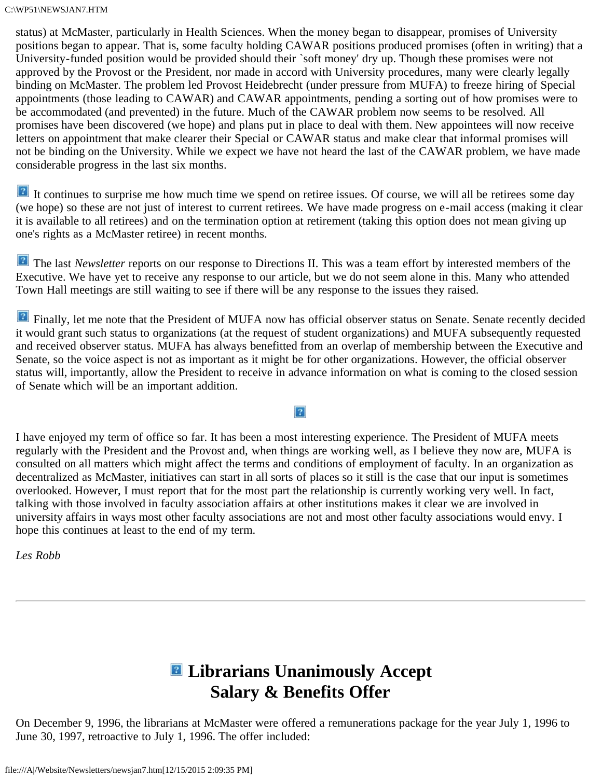status) at McMaster, particularly in Health Sciences. When the money began to disappear, promises of University positions began to appear. That is, some faculty holding CAWAR positions produced promises (often in writing) that a University-funded position would be provided should their `soft money' dry up. Though these promises were not approved by the Provost or the President, nor made in accord with University procedures, many were clearly legally binding on McMaster. The problem led Provost Heidebrecht (under pressure from MUFA) to freeze hiring of Special appointments (those leading to CAWAR) and CAWAR appointments, pending a sorting out of how promises were to be accommodated (and prevented) in the future. Much of the CAWAR problem now seems to be resolved. All promises have been discovered (we hope) and plans put in place to deal with them. New appointees will now receive letters on appointment that make clearer their Special or CAWAR status and make clear that informal promises will not be binding on the University. While we expect we have not heard the last of the CAWAR problem, we have made considerable progress in the last six months.

<sup>2</sup> It continues to surprise me how much time we spend on retiree issues. Of course, we will all be retirees some day (we hope) so these are not just of interest to current retirees. We have made progress on e-mail access (making it clear it is available to all retirees) and on the termination option at retirement (taking this option does not mean giving up one's rights as a McMaster retiree) in recent months.

**The last** *Newsletter* reports on our response to Directions II. This was a team effort by interested members of the Executive. We have yet to receive any response to our article, but we do not seem alone in this. Many who attended Town Hall meetings are still waiting to see if there will be any response to the issues they raised.

**P** Finally, let me note that the President of MUFA now has official observer status on Senate. Senate recently decided it would grant such status to organizations (at the request of student organizations) and MUFA subsequently requested and received observer status. MUFA has always benefitted from an overlap of membership between the Executive and Senate, so the voice aspect is not as important as it might be for other organizations. However, the official observer status will, importantly, allow the President to receive in advance information on what is coming to the closed session of Senate which will be an important addition.

 $\vert$  ?

I have enjoyed my term of office so far. It has been a most interesting experience. The President of MUFA meets regularly with the President and the Provost and, when things are working well, as I believe they now are, MUFA is consulted on all matters which might affect the terms and conditions of employment of faculty. In an organization as decentralized as McMaster, initiatives can start in all sorts of places so it still is the case that our input is sometimes overlooked. However, I must report that for the most part the relationship is currently working very well. In fact, talking with those involved in faculty association affairs at other institutions makes it clear we are involved in university affairs in ways most other faculty associations are not and most other faculty associations would envy. I hope this continues at least to the end of my term.

*Les Robb*

## **Librarians Unanimously Accept Salary & Benefits Offer**

On December 9, 1996, the librarians at McMaster were offered a remunerations package for the year July 1, 1996 to June 30, 1997, retroactive to July 1, 1996. The offer included: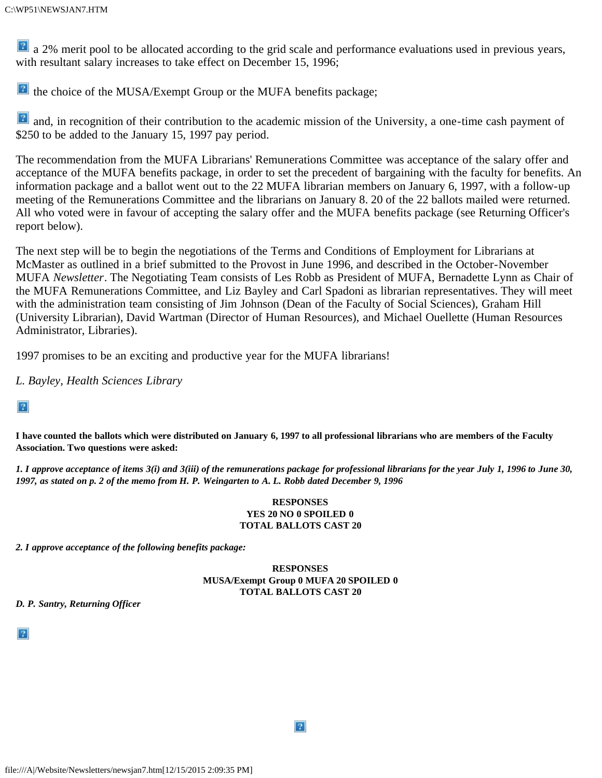**a** 2% merit pool to be allocated according to the grid scale and performance evaluations used in previous years, with resultant salary increases to take effect on December 15, 1996;

the choice of the MUSA/Exempt Group or the MUFA benefits package;

 and, in recognition of their contribution to the academic mission of the University, a one-time cash payment of \$250 to be added to the January 15, 1997 pay period.

The recommendation from the MUFA Librarians' Remunerations Committee was acceptance of the salary offer and acceptance of the MUFA benefits package, in order to set the precedent of bargaining with the faculty for benefits. An information package and a ballot went out to the 22 MUFA librarian members on January 6, 1997, with a follow-up meeting of the Remunerations Committee and the librarians on January 8. 20 of the 22 ballots mailed were returned. All who voted were in favour of accepting the salary offer and the MUFA benefits package (see Returning Officer's report below).

The next step will be to begin the negotiations of the Terms and Conditions of Employment for Librarians at McMaster as outlined in a brief submitted to the Provost in June 1996, and described in the October-November MUFA *Newsletter*. The Negotiating Team consists of Les Robb as President of MUFA, Bernadette Lynn as Chair of the MUFA Remunerations Committee, and Liz Bayley and Carl Spadoni as librarian representatives. They will meet with the administration team consisting of Jim Johnson (Dean of the Faculty of Social Sciences), Graham Hill (University Librarian), David Wartman (Director of Human Resources), and Michael Ouellette (Human Resources Administrator, Libraries).

1997 promises to be an exciting and productive year for the MUFA librarians!

*L. Bayley, Health Sciences Library*

 $|2|$ 

**I have counted the ballots which were distributed on January 6, 1997 to all professional librarians who are members of the Faculty Association. Two questions were asked:**

*1. I approve acceptance of items 3(i) and 3(iii) of the remunerations package for professional librarians for the year July 1, 1996 to June 30, 1997, as stated on p. 2 of the memo from H. P. Weingarten to A. L. Robb dated December 9, 1996*

#### **RESPONSES YES 20 NO 0 SPOILED 0 TOTAL BALLOTS CAST 20**

*2. I approve acceptance of the following benefits package:*

#### **RESPONSES MUSA/Exempt Group 0 MUFA 20 SPOILED 0 TOTAL BALLOTS CAST 20**

 $|2|$ 

*D. P. Santry, Returning Officer*

 $|2|$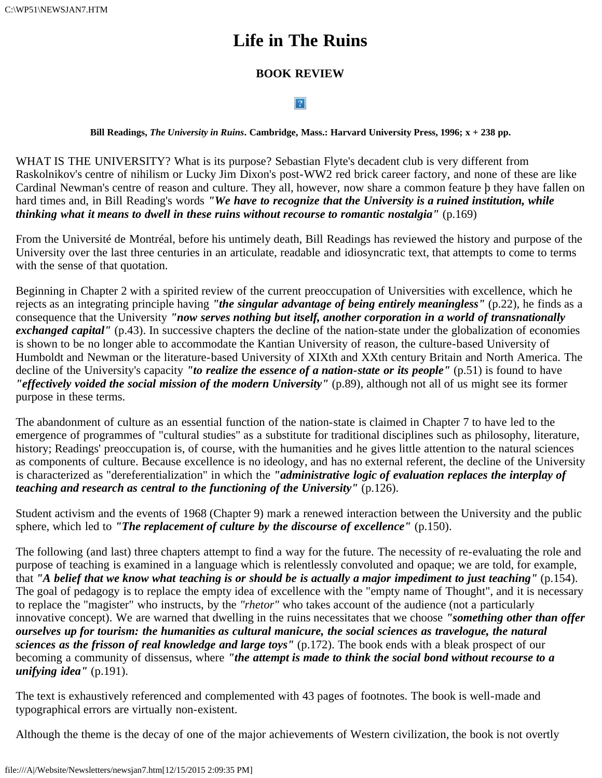C:\WP51\NEWSJAN7.HTM

## **Life in The Ruins**

### **BOOK REVIEW**

### $\mathbf{P}$

**Bill Readings,** *The University in Ruins***. Cambridge, Mass.: Harvard University Press, 1996; x + 238 pp.**

WHAT IS THE UNIVERSITY? What is its purpose? Sebastian Flyte's decadent club is very different from Raskolnikov's centre of nihilism or Lucky Jim Dixon's post-WW2 red brick career factory, and none of these are like Cardinal Newman's centre of reason and culture. They all, however, now share a common feature þ they have fallen on hard times and, in Bill Reading's words *"We have to recognize that the University is a ruined institution, while thinking what it means to dwell in these ruins without recourse to romantic nostalgia"* (p.169)

From the Université de Montréal, before his untimely death, Bill Readings has reviewed the history and purpose of the University over the last three centuries in an articulate, readable and idiosyncratic text, that attempts to come to terms with the sense of that quotation.

Beginning in Chapter 2 with a spirited review of the current preoccupation of Universities with excellence, which he rejects as an integrating principle having *"the singular advantage of being entirely meaningless"* (p.22), he finds as a consequence that the University *"now serves nothing but itself, another corporation in a world of transnationally exchanged capital''* (p.43). In successive chapters the decline of the nation-state under the globalization of economies is shown to be no longer able to accommodate the Kantian University of reason, the culture-based University of Humboldt and Newman or the literature-based University of XIXth and XXth century Britain and North America. The decline of the University's capacity *"to realize the essence of a nation-state or its people"* (p.51) is found to have *"effectively voided the social mission of the modern University"* (p.89), although not all of us might see its former purpose in these terms.

The abandonment of culture as an essential function of the nation-state is claimed in Chapter 7 to have led to the emergence of programmes of "cultural studies" as a substitute for traditional disciplines such as philosophy, literature, history; Readings' preoccupation is, of course, with the humanities and he gives little attention to the natural sciences as components of culture. Because excellence is no ideology, and has no external referent, the decline of the University is characterized as "dereferentialization" in which the *"administrative logic of evaluation replaces the interplay of teaching and research as central to the functioning of the University"* (p.126).

Student activism and the events of 1968 (Chapter 9) mark a renewed interaction between the University and the public sphere, which led to *"The replacement of culture by the discourse of excellence"* (p.150).

The following (and last) three chapters attempt to find a way for the future. The necessity of re-evaluating the role and purpose of teaching is examined in a language which is relentlessly convoluted and opaque; we are told, for example, that *"A belief that we know what teaching is or should be is actually a major impediment to just teaching"* (p.154). The goal of pedagogy is to replace the empty idea of excellence with the "empty name of Thought", and it is necessary to replace the "magister" who instructs, by the *"rhetor"* who takes account of the audience (not a particularly innovative concept). We are warned that dwelling in the ruins necessitates that we choose *"something other than offer ourselves up for tourism: the humanities as cultural manicure, the social sciences as travelogue, the natural sciences as the frisson of real knowledge and large toys"* (p.172). The book ends with a bleak prospect of our becoming a community of dissensus, where *"the attempt is made to think the social bond without recourse to a unifying idea"* (p.191).

The text is exhaustively referenced and complemented with 43 pages of footnotes. The book is well-made and typographical errors are virtually non-existent.

Although the theme is the decay of one of the major achievements of Western civilization, the book is not overtly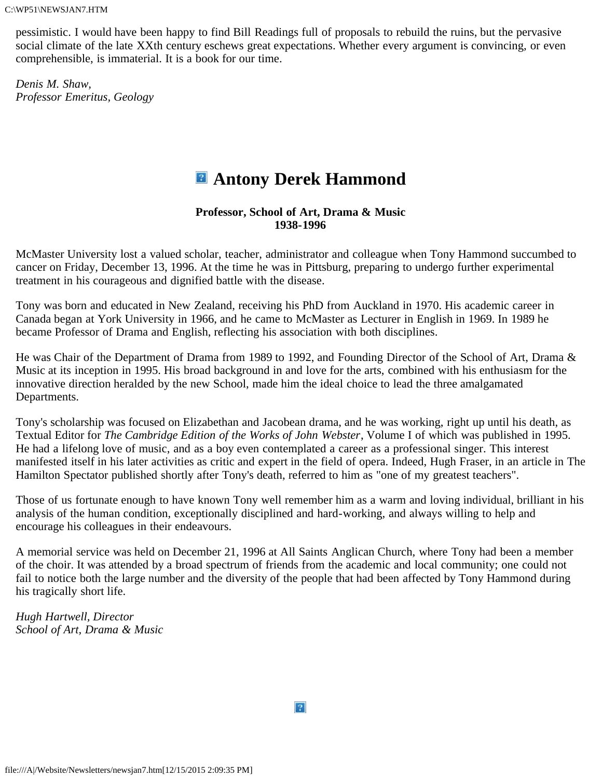pessimistic. I would have been happy to find Bill Readings full of proposals to rebuild the ruins, but the pervasive social climate of the late XXth century eschews great expectations. Whether every argument is convincing, or even comprehensible, is immaterial. It is a book for our time.

*Denis M. Shaw, Professor Emeritus, Geology*

## **Antony Derek Hammond**

#### **Professor, School of Art, Drama & Music 1938-1996**

McMaster University lost a valued scholar, teacher, administrator and colleague when Tony Hammond succumbed to cancer on Friday, December 13, 1996. At the time he was in Pittsburg, preparing to undergo further experimental treatment in his courageous and dignified battle with the disease.

Tony was born and educated in New Zealand, receiving his PhD from Auckland in 1970. His academic career in Canada began at York University in 1966, and he came to McMaster as Lecturer in English in 1969. In 1989 he became Professor of Drama and English, reflecting his association with both disciplines.

He was Chair of the Department of Drama from 1989 to 1992, and Founding Director of the School of Art, Drama & Music at its inception in 1995. His broad background in and love for the arts, combined with his enthusiasm for the innovative direction heralded by the new School, made him the ideal choice to lead the three amalgamated Departments.

Tony's scholarship was focused on Elizabethan and Jacobean drama, and he was working, right up until his death, as Textual Editor for *The Cambridge Edition of the Works of John Webster*, Volume I of which was published in 1995. He had a lifelong love of music, and as a boy even contemplated a career as a professional singer. This interest manifested itself in his later activities as critic and expert in the field of opera. Indeed, Hugh Fraser, in an article in The Hamilton Spectator published shortly after Tony's death, referred to him as "one of my greatest teachers".

Those of us fortunate enough to have known Tony well remember him as a warm and loving individual, brilliant in his analysis of the human condition, exceptionally disciplined and hard-working, and always willing to help and encourage his colleagues in their endeavours.

A memorial service was held on December 21, 1996 at All Saints Anglican Church, where Tony had been a member of the choir. It was attended by a broad spectrum of friends from the academic and local community; one could not fail to notice both the large number and the diversity of the people that had been affected by Tony Hammond during his tragically short life.

*Hugh Hartwell, Director School of Art, Drama & Music*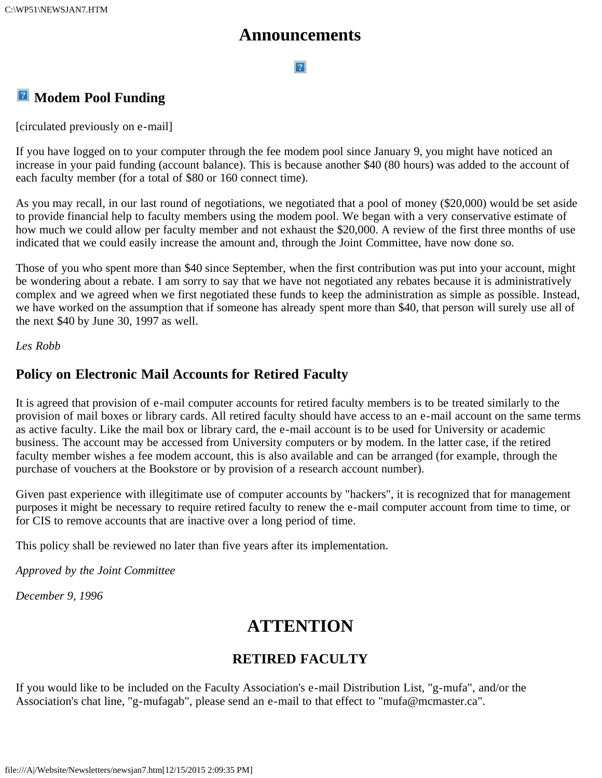### **Announcements**

#### $|2|$

### **<sup>2</sup>** Modem Pool Funding

[circulated previously on e-mail]

If you have logged on to your computer through the fee modem pool since January 9, you might have noticed an increase in your paid funding (account balance). This is because another \$40 (80 hours) was added to the account of each faculty member (for a total of \$80 or 160 connect time).

As you may recall, in our last round of negotiations, we negotiated that a pool of money (\$20,000) would be set aside to provide financial help to faculty members using the modem pool. We began with a very conservative estimate of how much we could allow per faculty member and not exhaust the \$20,000. A review of the first three months of use indicated that we could easily increase the amount and, through the Joint Committee, have now done so.

Those of you who spent more than \$40 since September, when the first contribution was put into your account, might be wondering about a rebate. I am sorry to say that we have not negotiated any rebates because it is administratively complex and we agreed when we first negotiated these funds to keep the administration as simple as possible. Instead, we have worked on the assumption that if someone has already spent more than \$40, that person will surely use all of the next \$40 by June 30, 1997 as well.

*Les Robb*

### **Policy on Electronic Mail Accounts for Retired Faculty**

It is agreed that provision of e-mail computer accounts for retired faculty members is to be treated similarly to the provision of mail boxes or library cards. All retired faculty should have access to an e-mail account on the same terms as active faculty. Like the mail box or library card, the e-mail account is to be used for University or academic business. The account may be accessed from University computers or by modem. In the latter case, if the retired faculty member wishes a fee modem account, this is also available and can be arranged (for example, through the purchase of vouchers at the Bookstore or by provision of a research account number).

Given past experience with illegitimate use of computer accounts by "hackers", it is recognized that for management purposes it might be necessary to require retired faculty to renew the e-mail computer account from time to time, or for CIS to remove accounts that are inactive over a long period of time.

This policy shall be reviewed no later than five years after its implementation.

*Approved by the Joint Committee*

*December 9, 1996*

## **ATTENTION**

### **RETIRED FACULTY**

If you would like to be included on the Faculty Association's e-mail Distribution List, "g-mufa", and/or the Association's chat line, "g-mufagab", please send an e-mail to that effect to "mufa@mcmaster.ca".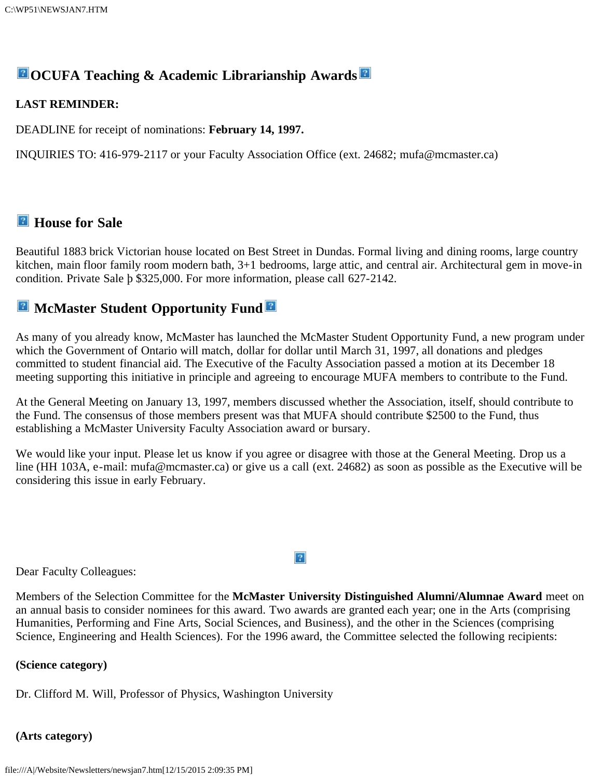### **OCUFA Teaching & Academic Librarianship Awards**

#### **LAST REMINDER:**

DEADLINE for receipt of nominations: **February 14, 1997.**

INQUIRIES TO: 416-979-2117 or your Faculty Association Office (ext. 24682; mufa@mcmaster.ca)

### *E* House for Sale

Beautiful 1883 brick Victorian house located on Best Street in Dundas. Formal living and dining rooms, large country kitchen, main floor family room modern bath, 3+1 bedrooms, large attic, and central air. Architectural gem in move-in condition. Private Sale þ \$325,000. For more information, please call 627-2142.

### **E** McMaster Student Opportunity Fund

As many of you already know, McMaster has launched the McMaster Student Opportunity Fund, a new program under which the Government of Ontario will match, dollar for dollar until March 31, 1997, all donations and pledges committed to student financial aid. The Executive of the Faculty Association passed a motion at its December 18 meeting supporting this initiative in principle and agreeing to encourage MUFA members to contribute to the Fund.

At the General Meeting on January 13, 1997, members discussed whether the Association, itself, should contribute to the Fund. The consensus of those members present was that MUFA should contribute \$2500 to the Fund, thus establishing a McMaster University Faculty Association award or bursary.

We would like your input. Please let us know if you agree or disagree with those at the General Meeting. Drop us a line (HH 103A, e-mail: mufa@mcmaster.ca) or give us a call (ext. 24682) as soon as possible as the Executive will be considering this issue in early February.

Dear Faculty Colleagues:

Members of the Selection Committee for the **McMaster University Distinguished Alumni/Alumnae Award** meet on an annual basis to consider nominees for this award. Two awards are granted each year; one in the Arts (comprising Humanities, Performing and Fine Arts, Social Sciences, and Business), and the other in the Sciences (comprising Science, Engineering and Health Sciences). For the 1996 award, the Committee selected the following recipients:

#### **(Science category)**

Dr. Clifford M. Will, Professor of Physics, Washington University

#### **(Arts category)**

 $|2|$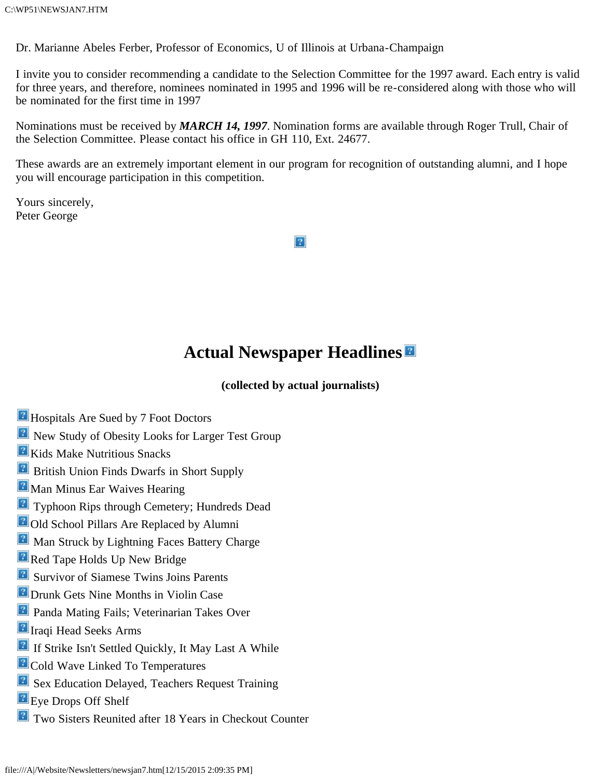Dr. Marianne Abeles Ferber, Professor of Economics, U of Illinois at Urbana-Champaign

I invite you to consider recommending a candidate to the Selection Committee for the 1997 award. Each entry is valid for three years, and therefore, nominees nominated in 1995 and 1996 will be re-considered along with those who will be nominated for the first time in 1997

Nominations must be received by *MARCH 14, 1997*. Nomination forms are available through Roger Trull, Chair of the Selection Committee. Please contact his office in GH 110, Ext. 24677.

These awards are an extremely important element in our program for recognition of outstanding alumni, and I hope you will encourage participation in this competition.

Yours sincerely, Peter George

 $|2|$ 

## **Actual Newspaper Headlines**

**(collected by actual journalists)**

- **H** Hospitals Are Sued by 7 Foot Doctors
- **R** New Study of Obesity Looks for Larger Test Group
- **R** Kids Make Nutritious Snacks
- **B** British Union Finds Dwarfs in Short Supply
- **P** Man Minus Ear Waives Hearing
- **Typhoon Rips through Cemetery; Hundreds Dead**
- **2** Old School Pillars Are Replaced by Alumni
- **Man Struck by Lightning Faces Battery Charge**
- **Red Tape Holds Up New Bridge**
- **B** Survivor of Siamese Twins Joins Parents
- **Drunk Gets Nine Months in Violin Case**
- **Panda Mating Fails; Veterinarian Takes Over**
- **P** Iraqi Head Seeks Arms
- **E** If Strike Isn't Settled Quickly, It May Last A While
- **P** Cold Wave Linked To Temperatures
- **E** Sex Education Delayed, Teachers Request Training
- **E** Eye Drops Off Shelf
- **P** Two Sisters Reunited after 18 Years in Checkout Counter